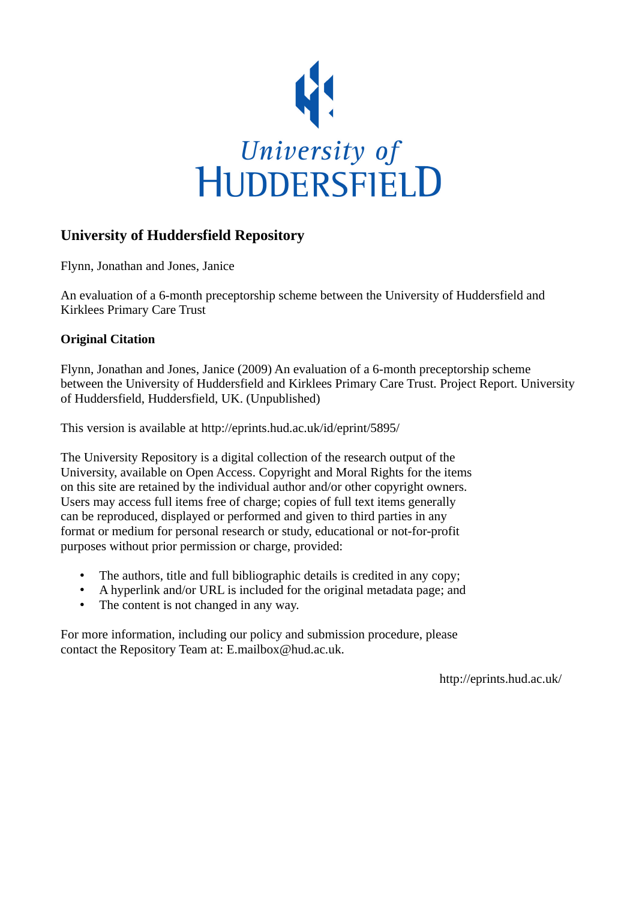

# **University of Huddersfield Repository**

Flynn, Jonathan and Jones, Janice

An evaluation of a 6-month preceptorship scheme between the University of Huddersfield and Kirklees Primary Care Trust

## **Original Citation**

Flynn, Jonathan and Jones, Janice (2009) An evaluation of a 6-month preceptorship scheme between the University of Huddersfield and Kirklees Primary Care Trust. Project Report. University of Huddersfield, Huddersfield, UK. (Unpublished)

This version is available at http://eprints.hud.ac.uk/id/eprint/5895/

The University Repository is a digital collection of the research output of the University, available on Open Access. Copyright and Moral Rights for the items on this site are retained by the individual author and/or other copyright owners. Users may access full items free of charge; copies of full text items generally can be reproduced, displayed or performed and given to third parties in any format or medium for personal research or study, educational or not-for-profit purposes without prior permission or charge, provided:

- The authors, title and full bibliographic details is credited in any copy;
- A hyperlink and/or URL is included for the original metadata page; and
- The content is not changed in any way.

For more information, including our policy and submission procedure, please contact the Repository Team at: E.mailbox@hud.ac.uk.

http://eprints.hud.ac.uk/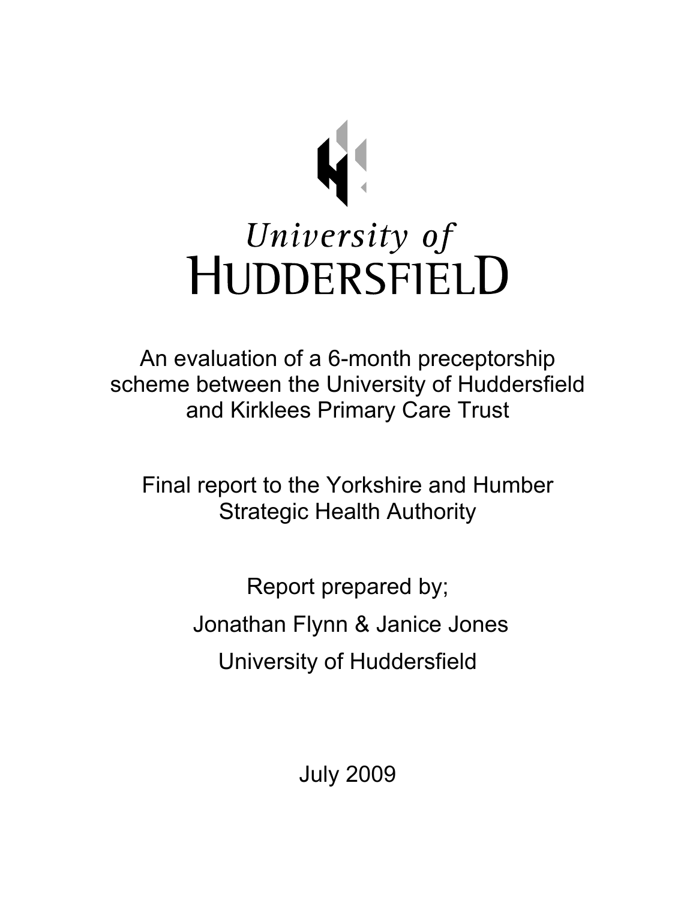

An evaluation of a 6-month preceptorship scheme between the University of Huddersfield and Kirklees Primary Care Trust

Final report to the Yorkshire and Humber Strategic Health Authority

> Report prepared by; Jonathan Flynn & Janice Jones University of Huddersfield

> > July 2009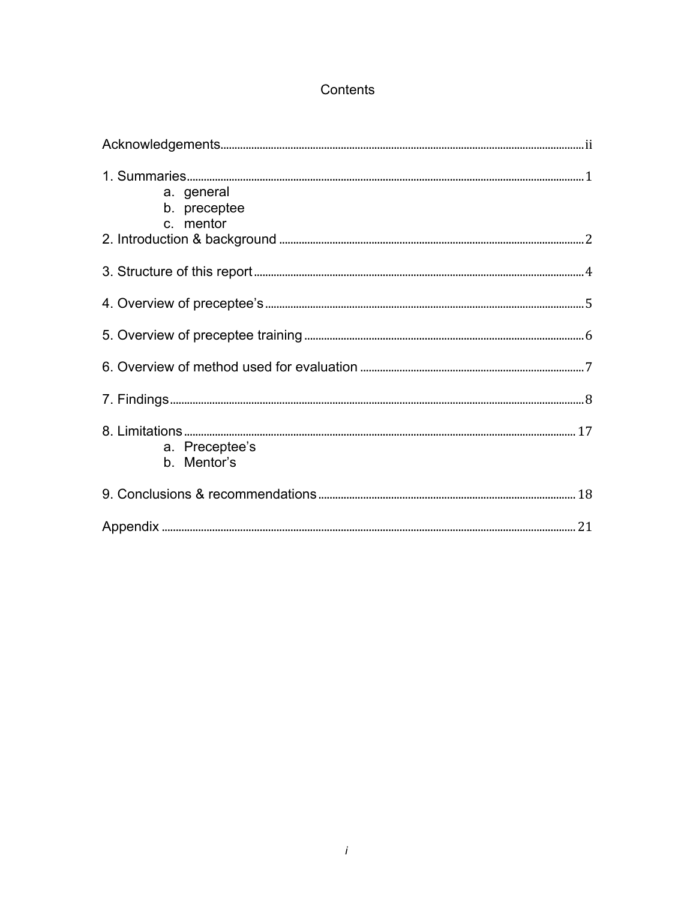# Contents

| a. general<br>b. preceptee<br>c. mentor |  |
|-----------------------------------------|--|
|                                         |  |
|                                         |  |
|                                         |  |
|                                         |  |
|                                         |  |
| a. Preceptee's<br>b. Mentor's           |  |
|                                         |  |
|                                         |  |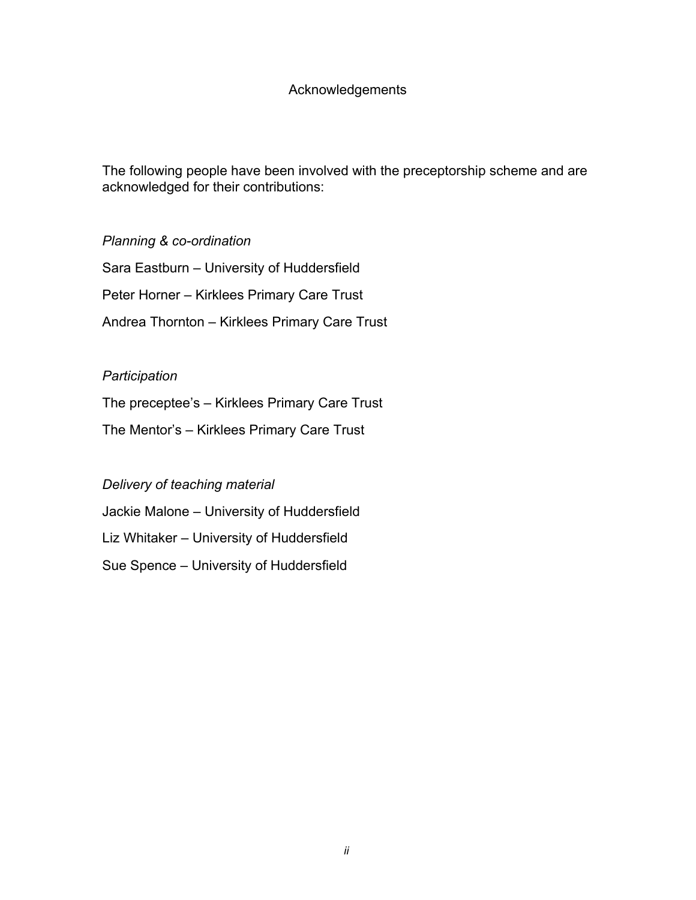## Acknowledgements

The following people have been involved with the preceptorship scheme and are acknowledged for their contributions:

*Planning & co-ordination*

Sara Eastburn – University of Huddersfield Peter Horner – Kirklees Primary Care Trust Andrea Thornton – Kirklees Primary Care Trust

## *Participation*

The preceptee's – Kirklees Primary Care Trust

The Mentor's – Kirklees Primary Care Trust

## *Delivery of teaching material*

Jackie Malone – University of Huddersfield

Liz Whitaker – University of Huddersfield

Sue Spence – University of Huddersfield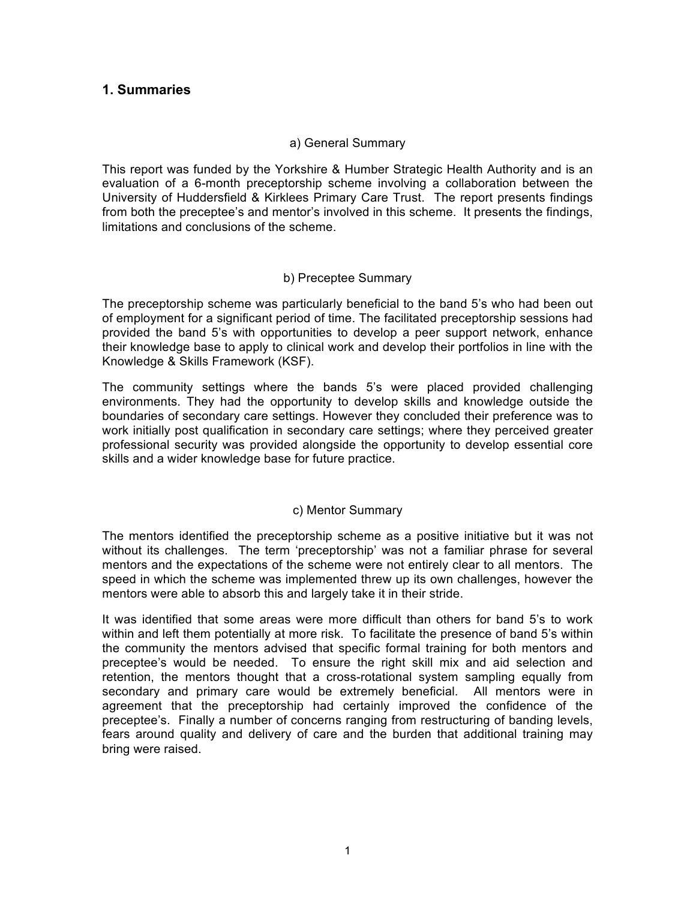## **1. Summaries**

#### a) General Summary

This report was funded by the Yorkshire & Humber Strategic Health Authority and is an evaluation of a 6-month preceptorship scheme involving a collaboration between the University of Huddersfield & Kirklees Primary Care Trust. The report presents findings from both the preceptee's and mentor's involved in this scheme. It presents the findings, limitations and conclusions of the scheme.

#### b) Preceptee Summary

The preceptorship scheme was particularly beneficial to the band 5's who had been out of employment for a significant period of time. The facilitated preceptorship sessions had provided the band 5's with opportunities to develop a peer support network, enhance their knowledge base to apply to clinical work and develop their portfolios in line with the Knowledge & Skills Framework (KSF).

The community settings where the bands 5's were placed provided challenging environments. They had the opportunity to develop skills and knowledge outside the boundaries of secondary care settings. However they concluded their preference was to work initially post qualification in secondary care settings; where they perceived greater professional security was provided alongside the opportunity to develop essential core skills and a wider knowledge base for future practice.

#### c) Mentor Summary

The mentors identified the preceptorship scheme as a positive initiative but it was not without its challenges. The term 'preceptorship' was not a familiar phrase for several mentors and the expectations of the scheme were not entirely clear to all mentors. The speed in which the scheme was implemented threw up its own challenges, however the mentors were able to absorb this and largely take it in their stride.

It was identified that some areas were more difficult than others for band 5's to work within and left them potentially at more risk. To facilitate the presence of band 5's within the community the mentors advised that specific formal training for both mentors and preceptee's would be needed. To ensure the right skill mix and aid selection and retention, the mentors thought that a cross-rotational system sampling equally from secondary and primary care would be extremely beneficial. All mentors were in agreement that the preceptorship had certainly improved the confidence of the preceptee's. Finally a number of concerns ranging from restructuring of banding levels, fears around quality and delivery of care and the burden that additional training may bring were raised.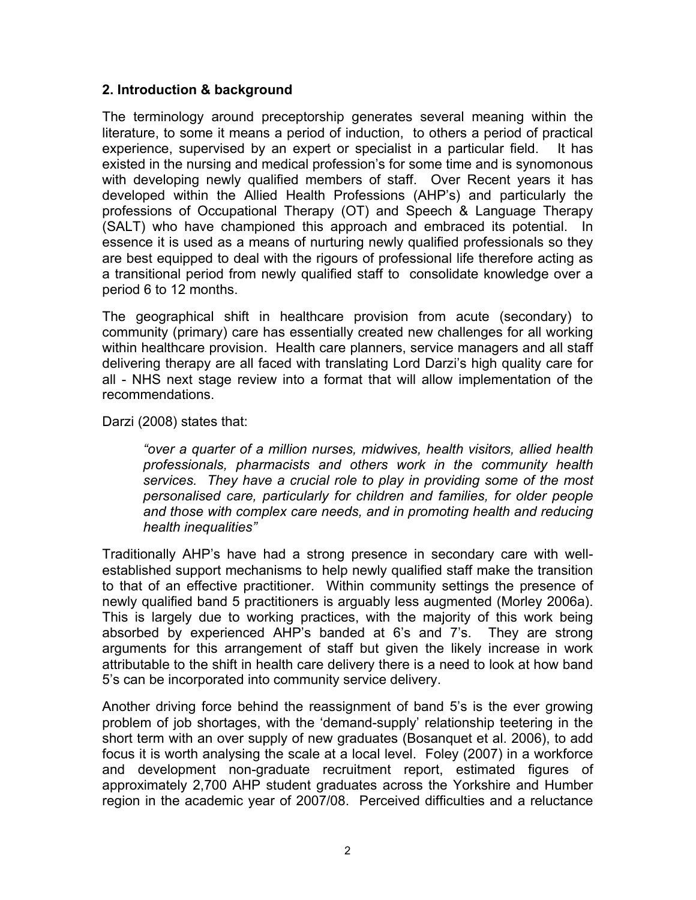## **2. Introduction & background**

The terminology around preceptorship generates several meaning within the literature, to some it means a period of induction, to others a period of practical experience, supervised by an expert or specialist in a particular field. It has existed in the nursing and medical profession's for some time and is synomonous with developing newly qualified members of staff. Over Recent years it has developed within the Allied Health Professions (AHP's) and particularly the professions of Occupational Therapy (OT) and Speech & Language Therapy (SALT) who have championed this approach and embraced its potential. In essence it is used as a means of nurturing newly qualified professionals so they are best equipped to deal with the rigours of professional life therefore acting as a transitional period from newly qualified staff to consolidate knowledge over a period 6 to 12 months.

The geographical shift in healthcare provision from acute (secondary) to community (primary) care has essentially created new challenges for all working within healthcare provision. Health care planners, service managers and all staff delivering therapy are all faced with translating Lord Darzi's high quality care for all - NHS next stage review into a format that will allow implementation of the recommendations.

Darzi (2008) states that:

*"over a quarter of a million nurses, midwives, health visitors, allied health professionals, pharmacists and others work in the community health services. They have a crucial role to play in providing some of the most personalised care, particularly for children and families, for older people and those with complex care needs, and in promoting health and reducing health inequalities"*

Traditionally AHP's have had a strong presence in secondary care with wellestablished support mechanisms to help newly qualified staff make the transition to that of an effective practitioner. Within community settings the presence of newly qualified band 5 practitioners is arguably less augmented (Morley 2006a). This is largely due to working practices, with the majority of this work being absorbed by experienced AHP's banded at 6's and 7's. They are strong arguments for this arrangement of staff but given the likely increase in work attributable to the shift in health care delivery there is a need to look at how band 5's can be incorporated into community service delivery.

Another driving force behind the reassignment of band 5's is the ever growing problem of job shortages, with the 'demand-supply' relationship teetering in the short term with an over supply of new graduates (Bosanquet et al. 2006), to add focus it is worth analysing the scale at a local level. Foley (2007) in a workforce and development non-graduate recruitment report, estimated figures of approximately 2,700 AHP student graduates across the Yorkshire and Humber region in the academic year of 2007/08. Perceived difficulties and a reluctance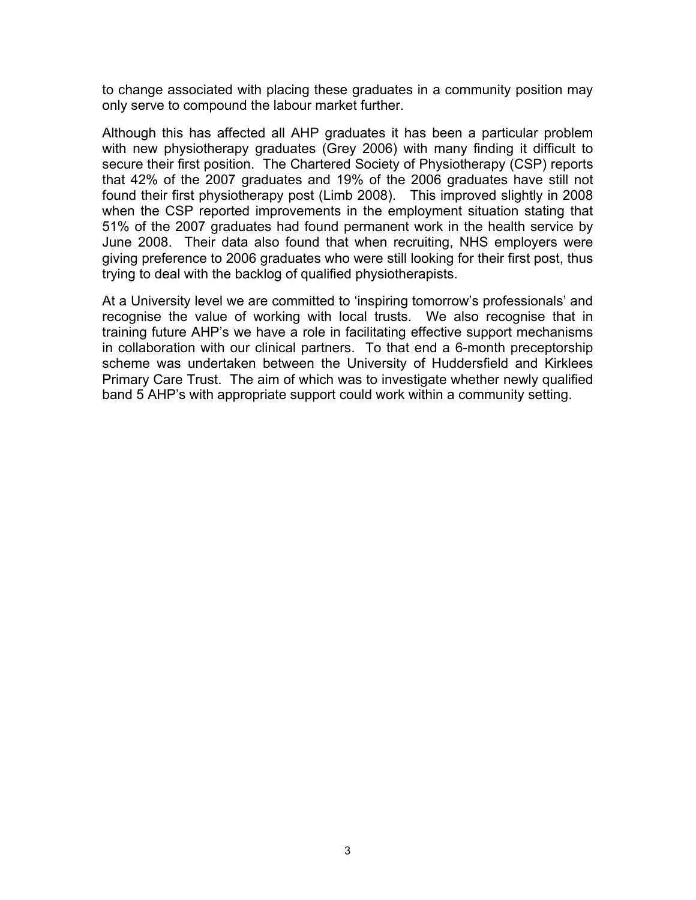to change associated with placing these graduates in a community position may only serve to compound the labour market further.

Although this has affected all AHP graduates it has been a particular problem with new physiotherapy graduates (Grey 2006) with many finding it difficult to secure their first position. The Chartered Society of Physiotherapy (CSP) reports that 42% of the 2007 graduates and 19% of the 2006 graduates have still not found their first physiotherapy post (Limb 2008). This improved slightly in 2008 when the CSP reported improvements in the employment situation stating that 51% of the 2007 graduates had found permanent work in the health service by June 2008. Their data also found that when recruiting, NHS employers were giving preference to 2006 graduates who were still looking for their first post, thus trying to deal with the backlog of qualified physiotherapists.

At a University level we are committed to 'inspiring tomorrow's professionals' and recognise the value of working with local trusts. We also recognise that in training future AHP's we have a role in facilitating effective support mechanisms in collaboration with our clinical partners. To that end a 6-month preceptorship scheme was undertaken between the University of Huddersfield and Kirklees Primary Care Trust. The aim of which was to investigate whether newly qualified band 5 AHP's with appropriate support could work within a community setting.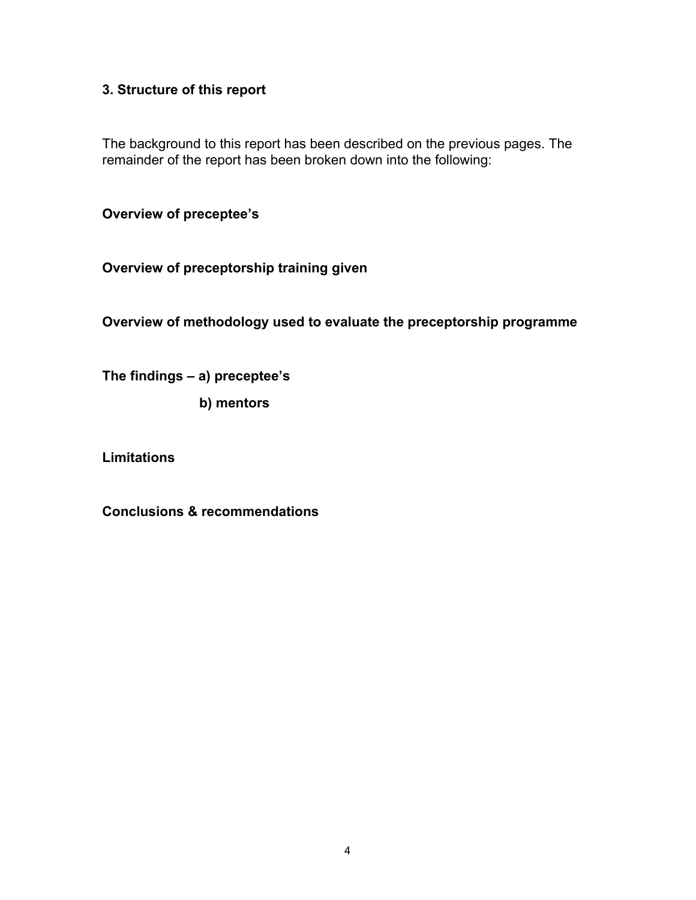# **3. Structure of this report**

The background to this report has been described on the previous pages. The remainder of the report has been broken down into the following:

**Overview of preceptee's**

**Overview of preceptorship training given**

**Overview of methodology used to evaluate the preceptorship programme**

**The findings – a) preceptee's**

 **b) mentors**

**Limitations**

**Conclusions & recommendations**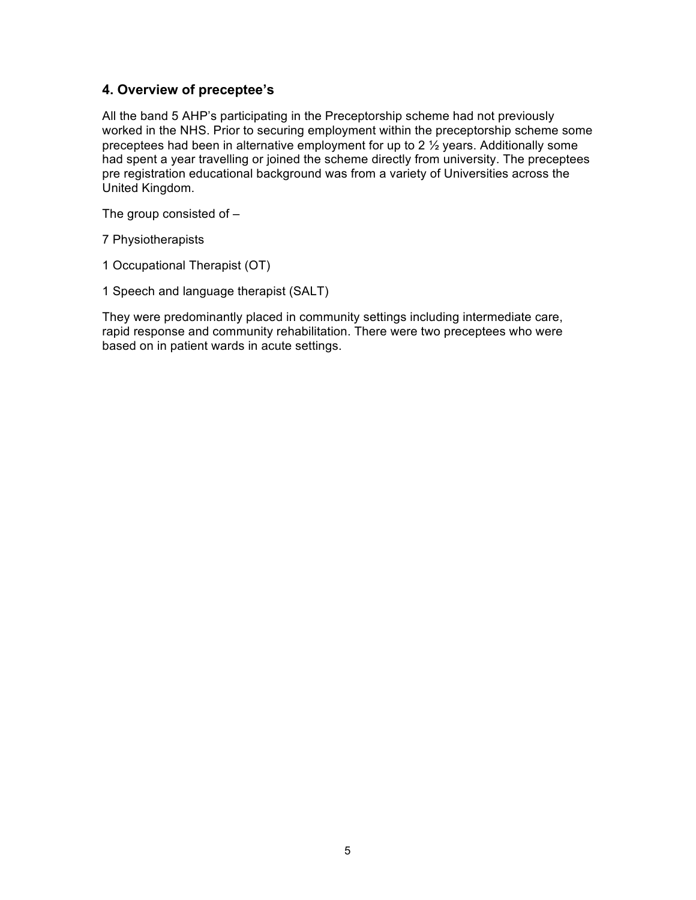# **4. Overview of preceptee's**

All the band 5 AHP's participating in the Preceptorship scheme had not previously worked in the NHS. Prior to securing employment within the preceptorship scheme some preceptees had been in alternative employment for up to 2 ½ years. Additionally some had spent a year travelling or joined the scheme directly from university. The preceptees pre registration educational background was from a variety of Universities across the United Kingdom.

The group consisted of –

7 Physiotherapists

1 Occupational Therapist (OT)

1 Speech and language therapist (SALT)

They were predominantly placed in community settings including intermediate care, rapid response and community rehabilitation. There were two preceptees who were based on in patient wards in acute settings.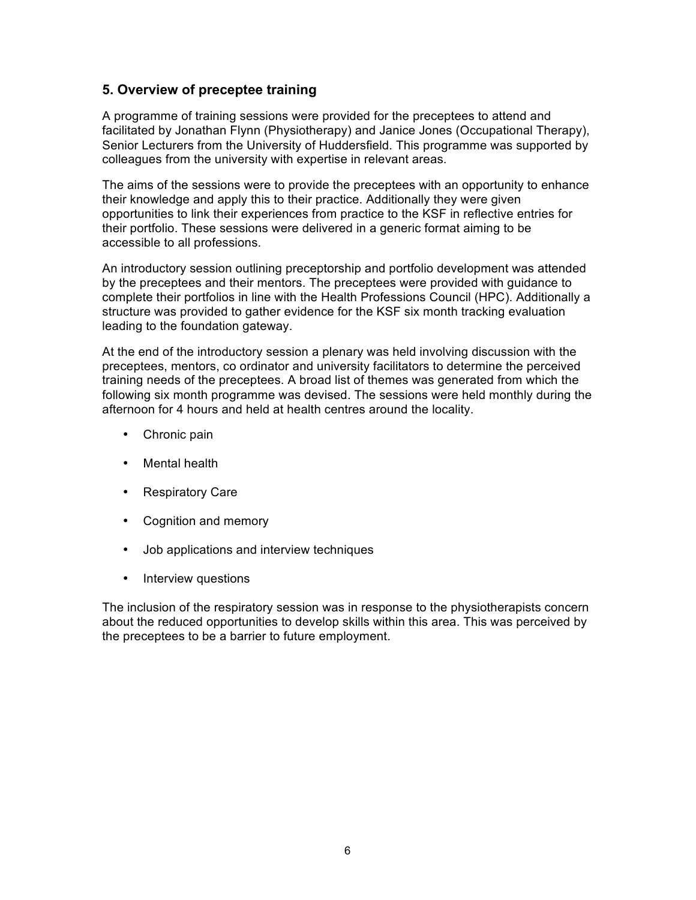## **5. Overview of preceptee training**

A programme of training sessions were provided for the preceptees to attend and facilitated by Jonathan Flynn (Physiotherapy) and Janice Jones (Occupational Therapy), Senior Lecturers from the University of Huddersfield. This programme was supported by colleagues from the university with expertise in relevant areas.

The aims of the sessions were to provide the preceptees with an opportunity to enhance their knowledge and apply this to their practice. Additionally they were given opportunities to link their experiences from practice to the KSF in reflective entries for their portfolio. These sessions were delivered in a generic format aiming to be accessible to all professions.

An introductory session outlining preceptorship and portfolio development was attended by the preceptees and their mentors. The preceptees were provided with guidance to complete their portfolios in line with the Health Professions Council (HPC). Additionally a structure was provided to gather evidence for the KSF six month tracking evaluation leading to the foundation gateway.

At the end of the introductory session a plenary was held involving discussion with the preceptees, mentors, co ordinator and university facilitators to determine the perceived training needs of the preceptees. A broad list of themes was generated from which the following six month programme was devised. The sessions were held monthly during the afternoon for 4 hours and held at health centres around the locality.

- Chronic pain
- Mental health
- Respiratory Care
- Cognition and memory
- Job applications and interview techniques
- Interview questions

The inclusion of the respiratory session was in response to the physiotherapists concern about the reduced opportunities to develop skills within this area. This was perceived by the preceptees to be a barrier to future employment.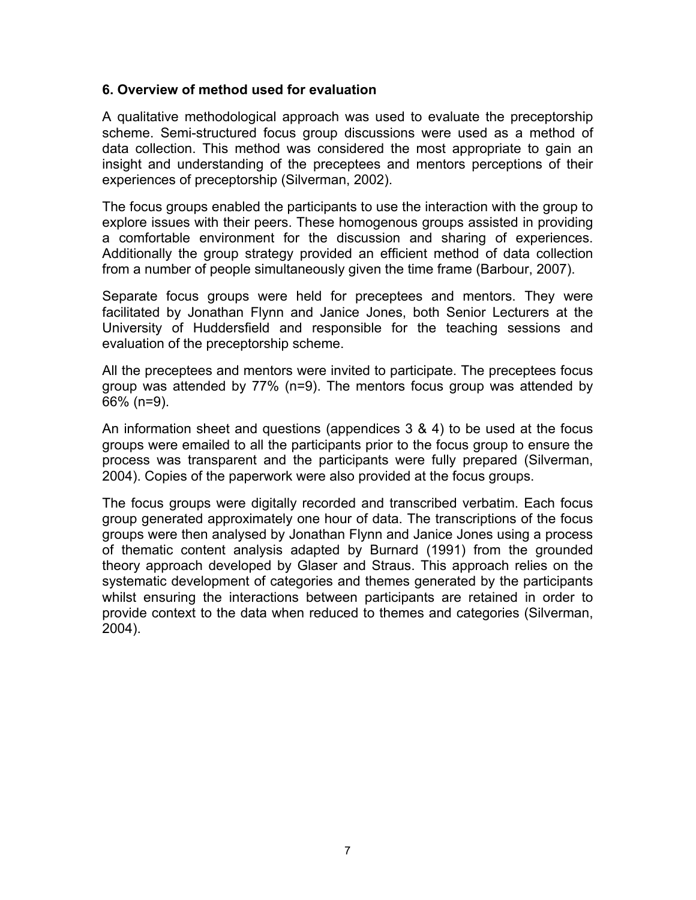## **6. Overview of method used for evaluation**

A qualitative methodological approach was used to evaluate the preceptorship scheme. Semi-structured focus group discussions were used as a method of data collection. This method was considered the most appropriate to gain an insight and understanding of the preceptees and mentors perceptions of their experiences of preceptorship (Silverman, 2002).

The focus groups enabled the participants to use the interaction with the group to explore issues with their peers. These homogenous groups assisted in providing a comfortable environment for the discussion and sharing of experiences. Additionally the group strategy provided an efficient method of data collection from a number of people simultaneously given the time frame (Barbour, 2007).

Separate focus groups were held for preceptees and mentors. They were facilitated by Jonathan Flynn and Janice Jones, both Senior Lecturers at the University of Huddersfield and responsible for the teaching sessions and evaluation of the preceptorship scheme.

All the preceptees and mentors were invited to participate. The preceptees focus group was attended by 77% (n=9). The mentors focus group was attended by 66% (n=9).

An information sheet and questions (appendices 3 & 4) to be used at the focus groups were emailed to all the participants prior to the focus group to ensure the process was transparent and the participants were fully prepared (Silverman, 2004). Copies of the paperwork were also provided at the focus groups.

The focus groups were digitally recorded and transcribed verbatim. Each focus group generated approximately one hour of data. The transcriptions of the focus groups were then analysed by Jonathan Flynn and Janice Jones using a process of thematic content analysis adapted by Burnard (1991) from the grounded theory approach developed by Glaser and Straus. This approach relies on the systematic development of categories and themes generated by the participants whilst ensuring the interactions between participants are retained in order to provide context to the data when reduced to themes and categories (Silverman, 2004).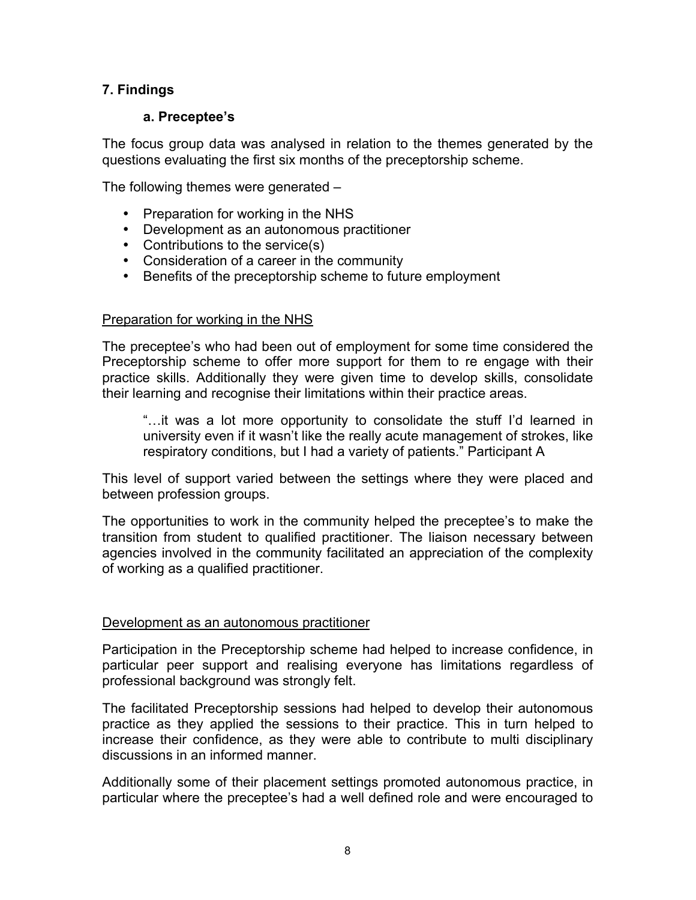# **7. Findings**

## **a. Preceptee's**

The focus group data was analysed in relation to the themes generated by the questions evaluating the first six months of the preceptorship scheme.

The following themes were generated –

- Preparation for working in the NHS
- Development as an autonomous practitioner
- Contributions to the service(s)
- Consideration of a career in the community
- Benefits of the preceptorship scheme to future employment

### Preparation for working in the NHS

The preceptee's who had been out of employment for some time considered the Preceptorship scheme to offer more support for them to re engage with their practice skills. Additionally they were given time to develop skills, consolidate their learning and recognise their limitations within their practice areas.

"…it was a lot more opportunity to consolidate the stuff I'd learned in university even if it wasn't like the really acute management of strokes, like respiratory conditions, but I had a variety of patients." Participant A

This level of support varied between the settings where they were placed and between profession groups.

The opportunities to work in the community helped the preceptee's to make the transition from student to qualified practitioner. The liaison necessary between agencies involved in the community facilitated an appreciation of the complexity of working as a qualified practitioner.

## Development as an autonomous practitioner

Participation in the Preceptorship scheme had helped to increase confidence, in particular peer support and realising everyone has limitations regardless of professional background was strongly felt.

The facilitated Preceptorship sessions had helped to develop their autonomous practice as they applied the sessions to their practice. This in turn helped to increase their confidence, as they were able to contribute to multi disciplinary discussions in an informed manner.

Additionally some of their placement settings promoted autonomous practice, in particular where the preceptee's had a well defined role and were encouraged to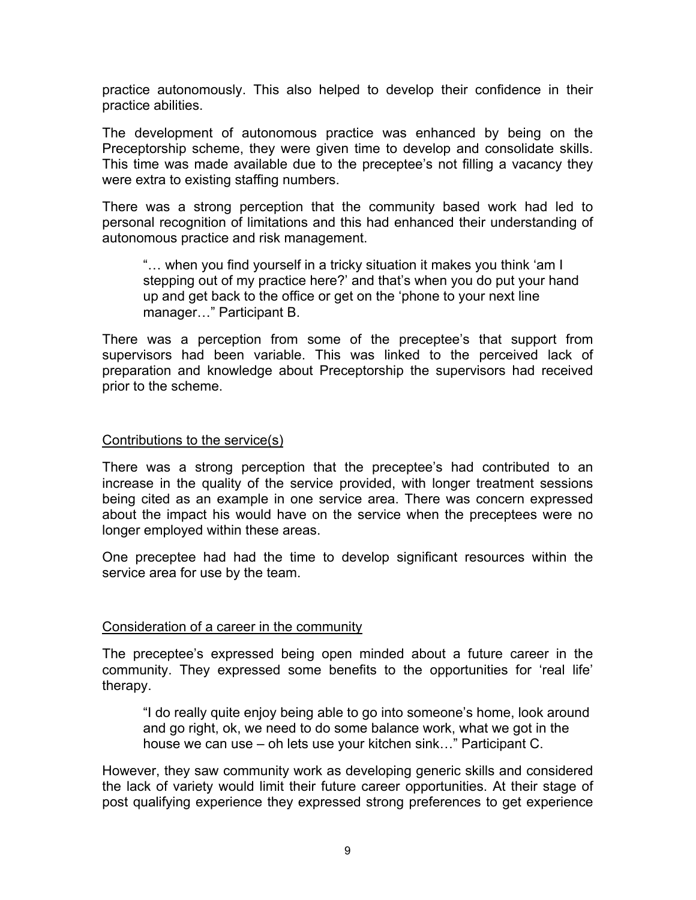practice autonomously. This also helped to develop their confidence in their practice abilities.

The development of autonomous practice was enhanced by being on the Preceptorship scheme, they were given time to develop and consolidate skills. This time was made available due to the preceptee's not filling a vacancy they were extra to existing staffing numbers.

There was a strong perception that the community based work had led to personal recognition of limitations and this had enhanced their understanding of autonomous practice and risk management.

"… when you find yourself in a tricky situation it makes you think 'am I stepping out of my practice here?' and that's when you do put your hand up and get back to the office or get on the 'phone to your next line manager…" Participant B.

There was a perception from some of the preceptee's that support from supervisors had been variable. This was linked to the perceived lack of preparation and knowledge about Preceptorship the supervisors had received prior to the scheme.

### Contributions to the service(s)

There was a strong perception that the preceptee's had contributed to an increase in the quality of the service provided, with longer treatment sessions being cited as an example in one service area. There was concern expressed about the impact his would have on the service when the preceptees were no longer employed within these areas.

One preceptee had had the time to develop significant resources within the service area for use by the team.

## Consideration of a career in the community

The preceptee's expressed being open minded about a future career in the community. They expressed some benefits to the opportunities for 'real life' therapy.

"I do really quite enjoy being able to go into someone's home, look around and go right, ok, we need to do some balance work, what we got in the house we can use – oh lets use your kitchen sink…" Participant C.

However, they saw community work as developing generic skills and considered the lack of variety would limit their future career opportunities. At their stage of post qualifying experience they expressed strong preferences to get experience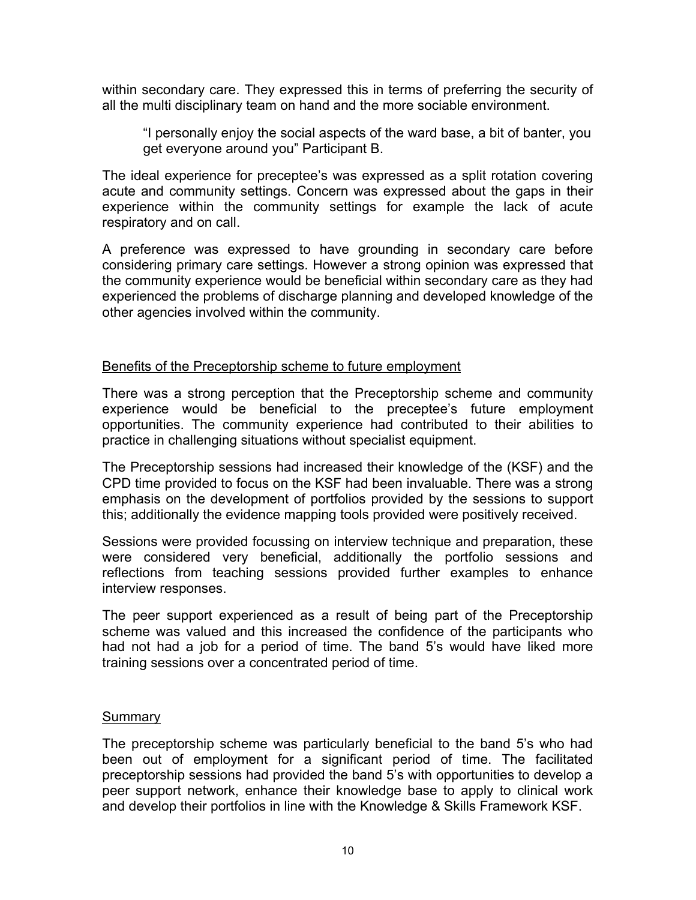within secondary care. They expressed this in terms of preferring the security of all the multi disciplinary team on hand and the more sociable environment.

"I personally enjoy the social aspects of the ward base, a bit of banter, you get everyone around you" Participant B.

The ideal experience for preceptee's was expressed as a split rotation covering acute and community settings. Concern was expressed about the gaps in their experience within the community settings for example the lack of acute respiratory and on call.

A preference was expressed to have grounding in secondary care before considering primary care settings. However a strong opinion was expressed that the community experience would be beneficial within secondary care as they had experienced the problems of discharge planning and developed knowledge of the other agencies involved within the community.

## Benefits of the Preceptorship scheme to future employment

There was a strong perception that the Preceptorship scheme and community experience would be beneficial to the preceptee's future employment opportunities. The community experience had contributed to their abilities to practice in challenging situations without specialist equipment.

The Preceptorship sessions had increased their knowledge of the (KSF) and the CPD time provided to focus on the KSF had been invaluable. There was a strong emphasis on the development of portfolios provided by the sessions to support this; additionally the evidence mapping tools provided were positively received.

Sessions were provided focussing on interview technique and preparation, these were considered very beneficial, additionally the portfolio sessions and reflections from teaching sessions provided further examples to enhance interview responses.

The peer support experienced as a result of being part of the Preceptorship scheme was valued and this increased the confidence of the participants who had not had a job for a period of time. The band 5's would have liked more training sessions over a concentrated period of time.

#### **Summary**

The preceptorship scheme was particularly beneficial to the band 5's who had been out of employment for a significant period of time. The facilitated preceptorship sessions had provided the band 5's with opportunities to develop a peer support network, enhance their knowledge base to apply to clinical work and develop their portfolios in line with the Knowledge & Skills Framework KSF.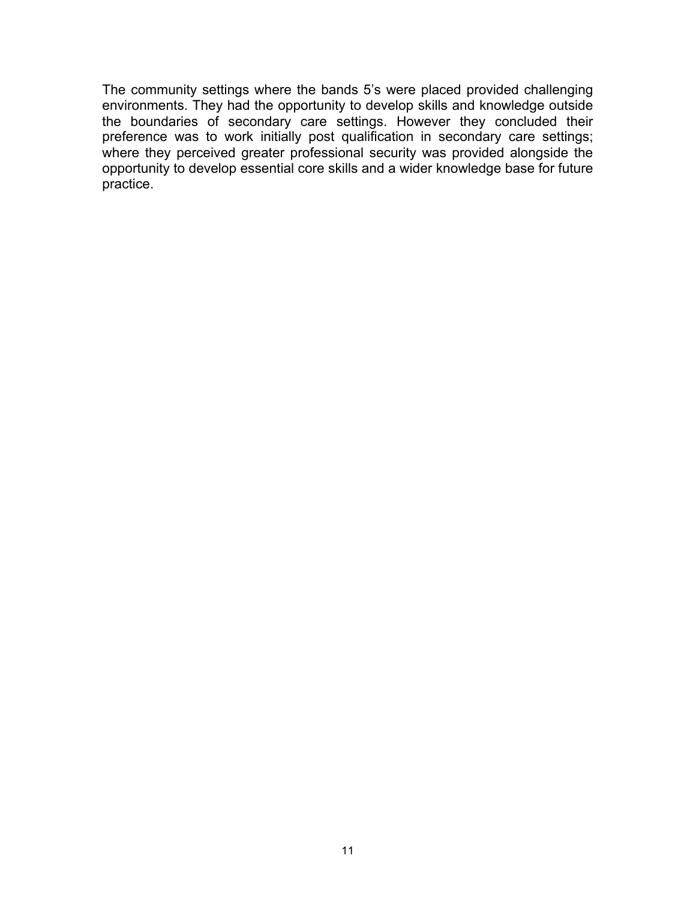The community settings where the bands 5's were placed provided challenging environments. They had the opportunity to develop skills and knowledge outside the boundaries of secondary care settings. However they concluded their preference was to work initially post qualification in secondary care settings; where they perceived greater professional security was provided alongside the opportunity to develop essential core skills and a wider knowledge base for future practice.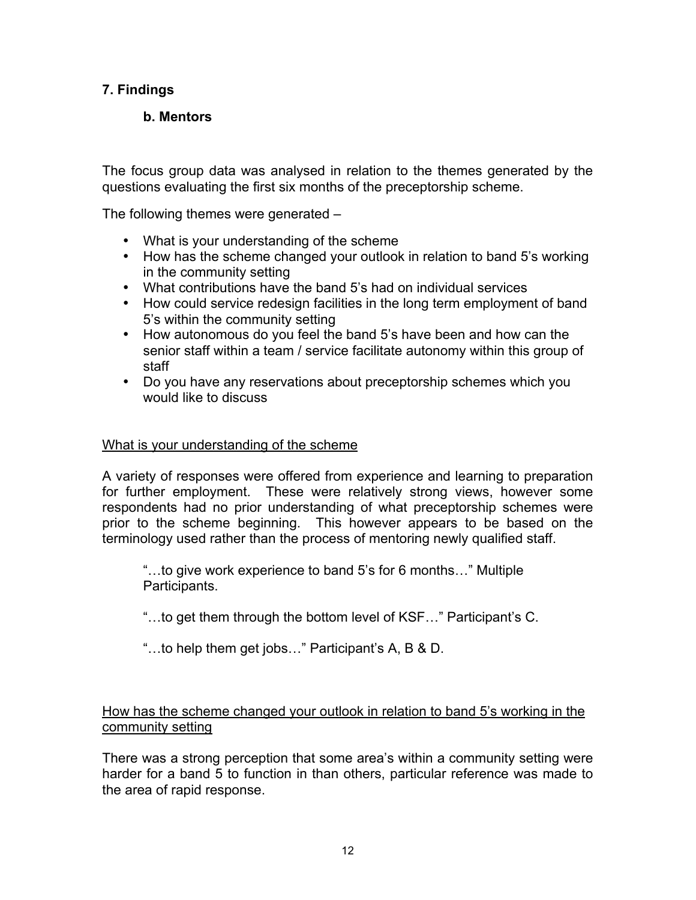# **7. Findings**

# **b. Mentors**

The focus group data was analysed in relation to the themes generated by the questions evaluating the first six months of the preceptorship scheme.

The following themes were generated –

- What is your understanding of the scheme
- How has the scheme changed your outlook in relation to band 5's working in the community setting
- What contributions have the band 5's had on individual services
- How could service redesign facilities in the long term employment of band 5's within the community setting
- How autonomous do you feel the band 5's have been and how can the senior staff within a team / service facilitate autonomy within this group of staff
- Do you have any reservations about preceptorship schemes which you would like to discuss

## What is your understanding of the scheme

A variety of responses were offered from experience and learning to preparation for further employment. These were relatively strong views, however some respondents had no prior understanding of what preceptorship schemes were prior to the scheme beginning. This however appears to be based on the terminology used rather than the process of mentoring newly qualified staff.

"…to give work experience to band 5's for 6 months…" Multiple Participants.

- "…to get them through the bottom level of KSF…" Participant's C.
- "…to help them get jobs…" Participant's A, B & D.

# How has the scheme changed your outlook in relation to band 5's working in the community setting

There was a strong perception that some area's within a community setting were harder for a band 5 to function in than others, particular reference was made to the area of rapid response.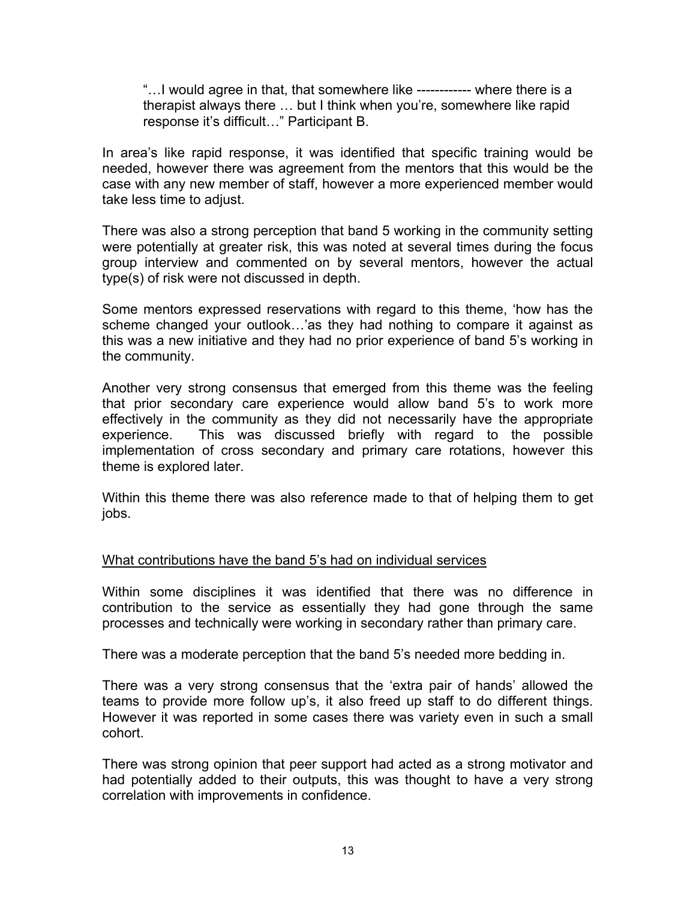"…I would agree in that, that somewhere like ------------ where there is a therapist always there … but I think when you're, somewhere like rapid response it's difficult…" Participant B.

In area's like rapid response, it was identified that specific training would be needed, however there was agreement from the mentors that this would be the case with any new member of staff, however a more experienced member would take less time to adjust.

There was also a strong perception that band 5 working in the community setting were potentially at greater risk, this was noted at several times during the focus group interview and commented on by several mentors, however the actual type(s) of risk were not discussed in depth.

Some mentors expressed reservations with regard to this theme, 'how has the scheme changed your outlook…'as they had nothing to compare it against as this was a new initiative and they had no prior experience of band 5's working in the community.

Another very strong consensus that emerged from this theme was the feeling that prior secondary care experience would allow band 5's to work more effectively in the community as they did not necessarily have the appropriate experience. This was discussed briefly with regard to the possible implementation of cross secondary and primary care rotations, however this theme is explored later.

Within this theme there was also reference made to that of helping them to get jobs.

## What contributions have the band 5's had on individual services

Within some disciplines it was identified that there was no difference in contribution to the service as essentially they had gone through the same processes and technically were working in secondary rather than primary care.

There was a moderate perception that the band 5's needed more bedding in.

There was a very strong consensus that the 'extra pair of hands' allowed the teams to provide more follow up's, it also freed up staff to do different things. However it was reported in some cases there was variety even in such a small cohort.

There was strong opinion that peer support had acted as a strong motivator and had potentially added to their outputs, this was thought to have a very strong correlation with improvements in confidence.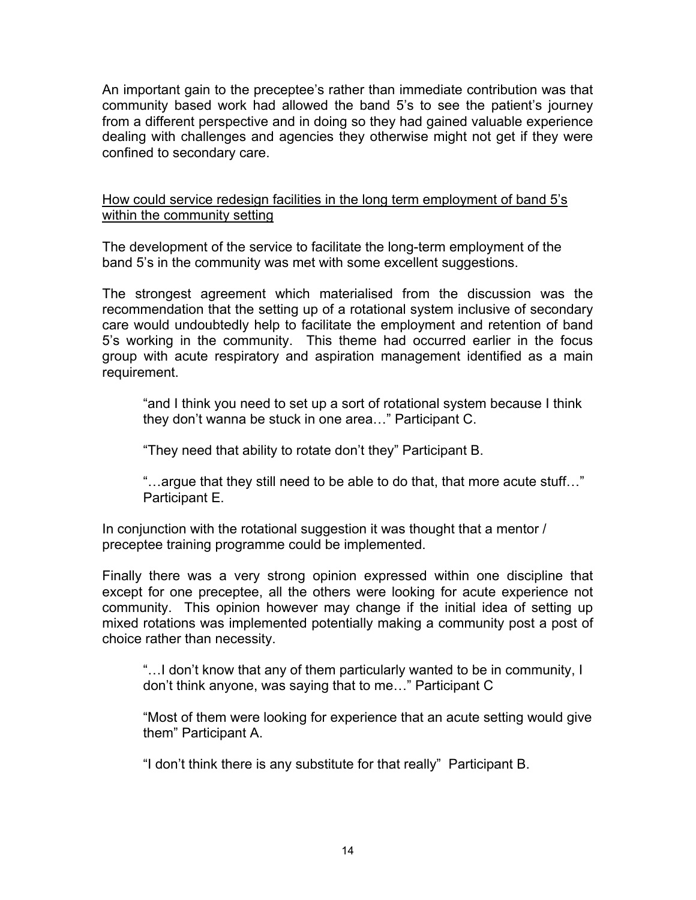An important gain to the preceptee's rather than immediate contribution was that community based work had allowed the band 5's to see the patient's journey from a different perspective and in doing so they had gained valuable experience dealing with challenges and agencies they otherwise might not get if they were confined to secondary care.

## How could service redesign facilities in the long term employment of band 5's within the community setting

The development of the service to facilitate the long-term employment of the band 5's in the community was met with some excellent suggestions.

The strongest agreement which materialised from the discussion was the recommendation that the setting up of a rotational system inclusive of secondary care would undoubtedly help to facilitate the employment and retention of band 5's working in the community. This theme had occurred earlier in the focus group with acute respiratory and aspiration management identified as a main requirement.

"and I think you need to set up a sort of rotational system because I think they don't wanna be stuck in one area…" Participant C.

"They need that ability to rotate don't they" Participant B.

"…argue that they still need to be able to do that, that more acute stuff…" Participant E.

In conjunction with the rotational suggestion it was thought that a mentor / preceptee training programme could be implemented.

Finally there was a very strong opinion expressed within one discipline that except for one preceptee, all the others were looking for acute experience not community. This opinion however may change if the initial idea of setting up mixed rotations was implemented potentially making a community post a post of choice rather than necessity.

"…I don't know that any of them particularly wanted to be in community, I don't think anyone, was saying that to me…" Participant C

"Most of them were looking for experience that an acute setting would give them" Participant A.

"I don't think there is any substitute for that really" Participant B.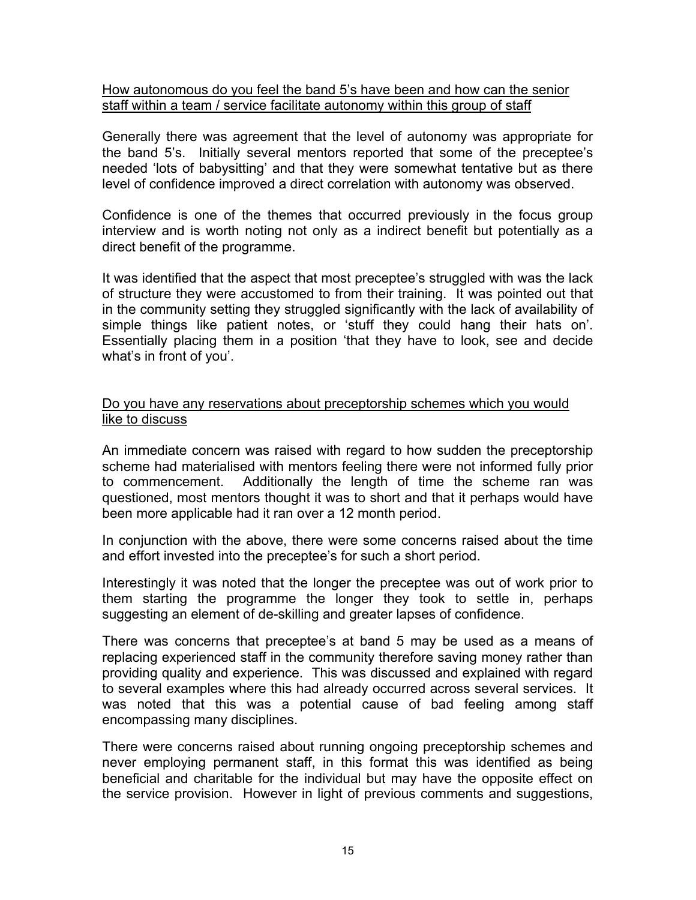## How autonomous do you feel the band 5's have been and how can the senior staff within a team / service facilitate autonomy within this group of staff

Generally there was agreement that the level of autonomy was appropriate for the band 5's. Initially several mentors reported that some of the preceptee's needed 'lots of babysitting' and that they were somewhat tentative but as there level of confidence improved a direct correlation with autonomy was observed.

Confidence is one of the themes that occurred previously in the focus group interview and is worth noting not only as a indirect benefit but potentially as a direct benefit of the programme.

It was identified that the aspect that most preceptee's struggled with was the lack of structure they were accustomed to from their training. It was pointed out that in the community setting they struggled significantly with the lack of availability of simple things like patient notes, or 'stuff they could hang their hats on'. Essentially placing them in a position 'that they have to look, see and decide what's in front of you'.

## Do you have any reservations about preceptorship schemes which you would like to discuss

An immediate concern was raised with regard to how sudden the preceptorship scheme had materialised with mentors feeling there were not informed fully prior to commencement. Additionally the length of time the scheme ran was questioned, most mentors thought it was to short and that it perhaps would have been more applicable had it ran over a 12 month period.

In conjunction with the above, there were some concerns raised about the time and effort invested into the preceptee's for such a short period.

Interestingly it was noted that the longer the preceptee was out of work prior to them starting the programme the longer they took to settle in, perhaps suggesting an element of de-skilling and greater lapses of confidence.

There was concerns that preceptee's at band 5 may be used as a means of replacing experienced staff in the community therefore saving money rather than providing quality and experience. This was discussed and explained with regard to several examples where this had already occurred across several services. It was noted that this was a potential cause of bad feeling among staff encompassing many disciplines.

There were concerns raised about running ongoing preceptorship schemes and never employing permanent staff, in this format this was identified as being beneficial and charitable for the individual but may have the opposite effect on the service provision. However in light of previous comments and suggestions,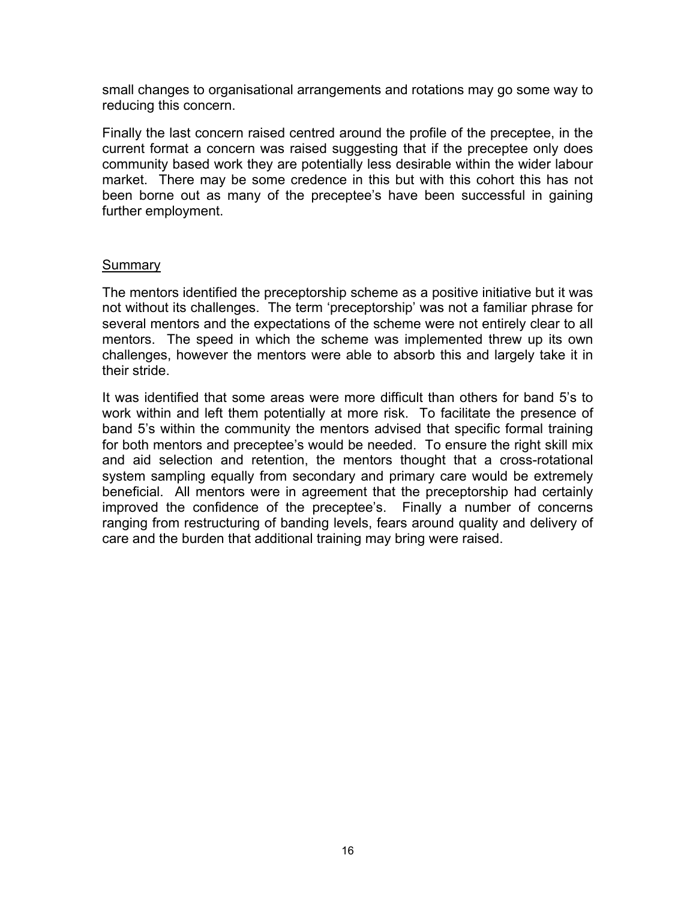small changes to organisational arrangements and rotations may go some way to reducing this concern.

Finally the last concern raised centred around the profile of the preceptee, in the current format a concern was raised suggesting that if the preceptee only does community based work they are potentially less desirable within the wider labour market. There may be some credence in this but with this cohort this has not been borne out as many of the preceptee's have been successful in gaining further employment.

### **Summary**

The mentors identified the preceptorship scheme as a positive initiative but it was not without its challenges. The term 'preceptorship' was not a familiar phrase for several mentors and the expectations of the scheme were not entirely clear to all mentors. The speed in which the scheme was implemented threw up its own challenges, however the mentors were able to absorb this and largely take it in their stride.

It was identified that some areas were more difficult than others for band 5's to work within and left them potentially at more risk. To facilitate the presence of band 5's within the community the mentors advised that specific formal training for both mentors and preceptee's would be needed. To ensure the right skill mix and aid selection and retention, the mentors thought that a cross-rotational system sampling equally from secondary and primary care would be extremely beneficial. All mentors were in agreement that the preceptorship had certainly improved the confidence of the preceptee's. Finally a number of concerns ranging from restructuring of banding levels, fears around quality and delivery of care and the burden that additional training may bring were raised.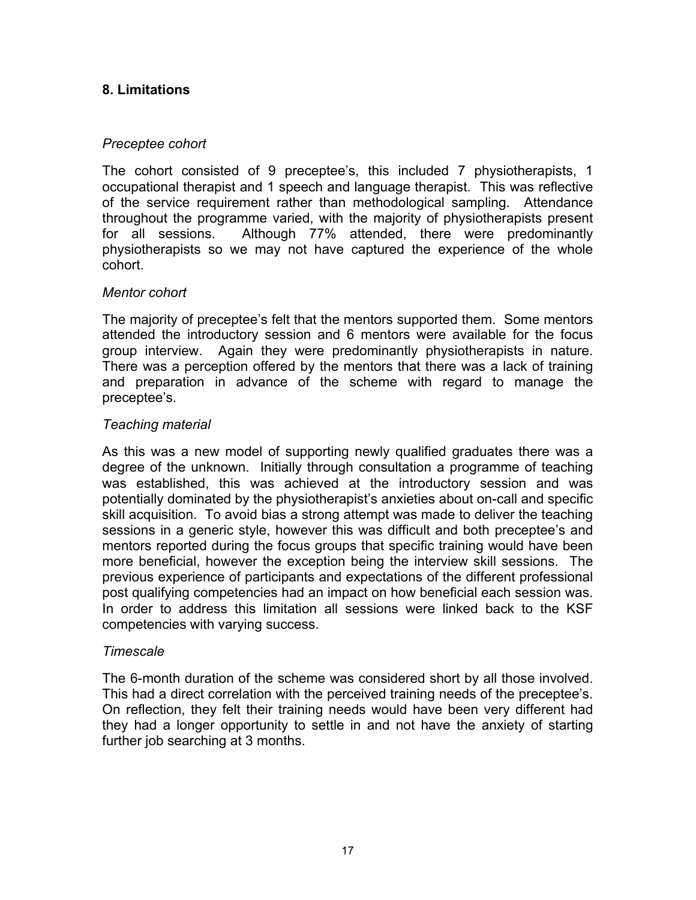# **8. Limitations**

## *Preceptee cohort*

The cohort consisted of 9 preceptee's, this included 7 physiotherapists, 1 occupational therapist and 1 speech and language therapist. This was reflective of the service requirement rather than methodological sampling. Attendance throughout the programme varied, with the majority of physiotherapists present for all sessions. Although 77% attended, there were predominantly physiotherapists so we may not have captured the experience of the whole cohort.

## *Mentor cohort*

The majority of preceptee's felt that the mentors supported them. Some mentors attended the introductory session and 6 mentors were available for the focus group interview. Again they were predominantly physiotherapists in nature. There was a perception offered by the mentors that there was a lack of training and preparation in advance of the scheme with regard to manage the preceptee's.

## *Teaching material*

As this was a new model of supporting newly qualified graduates there was a degree of the unknown. Initially through consultation a programme of teaching was established, this was achieved at the introductory session and was potentially dominated by the physiotherapist's anxieties about on-call and specific skill acquisition. To avoid bias a strong attempt was made to deliver the teaching sessions in a generic style, however this was difficult and both preceptee's and mentors reported during the focus groups that specific training would have been more beneficial, however the exception being the interview skill sessions. The previous experience of participants and expectations of the different professional post qualifying competencies had an impact on how beneficial each session was. In order to address this limitation all sessions were linked back to the KSF competencies with varying success.

## *Timescale*

The 6-month duration of the scheme was considered short by all those involved. This had a direct correlation with the perceived training needs of the preceptee's. On reflection, they felt their training needs would have been very different had they had a longer opportunity to settle in and not have the anxiety of starting further job searching at 3 months.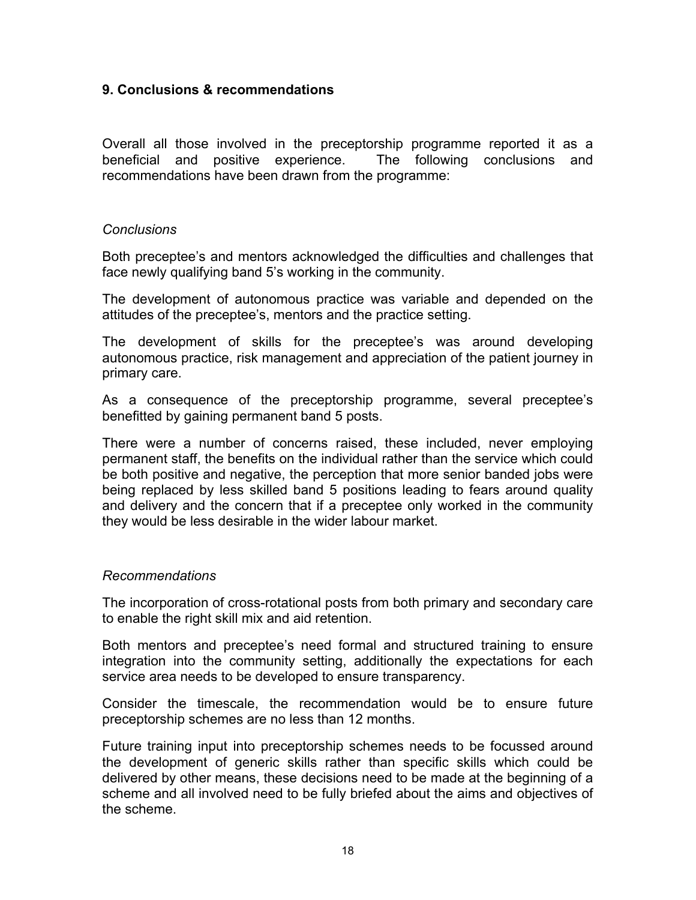## **9. Conclusions & recommendations**

Overall all those involved in the preceptorship programme reported it as a beneficial and positive experience. The following conclusions and recommendations have been drawn from the programme:

#### *Conclusions*

Both preceptee's and mentors acknowledged the difficulties and challenges that face newly qualifying band 5's working in the community.

The development of autonomous practice was variable and depended on the attitudes of the preceptee's, mentors and the practice setting.

The development of skills for the preceptee's was around developing autonomous practice, risk management and appreciation of the patient journey in primary care.

As a consequence of the preceptorship programme, several preceptee's benefitted by gaining permanent band 5 posts.

There were a number of concerns raised, these included, never employing permanent staff, the benefits on the individual rather than the service which could be both positive and negative, the perception that more senior banded jobs were being replaced by less skilled band 5 positions leading to fears around quality and delivery and the concern that if a preceptee only worked in the community they would be less desirable in the wider labour market.

## *Recommendations*

The incorporation of cross-rotational posts from both primary and secondary care to enable the right skill mix and aid retention.

Both mentors and preceptee's need formal and structured training to ensure integration into the community setting, additionally the expectations for each service area needs to be developed to ensure transparency.

Consider the timescale, the recommendation would be to ensure future preceptorship schemes are no less than 12 months.

Future training input into preceptorship schemes needs to be focussed around the development of generic skills rather than specific skills which could be delivered by other means, these decisions need to be made at the beginning of a scheme and all involved need to be fully briefed about the aims and objectives of the scheme.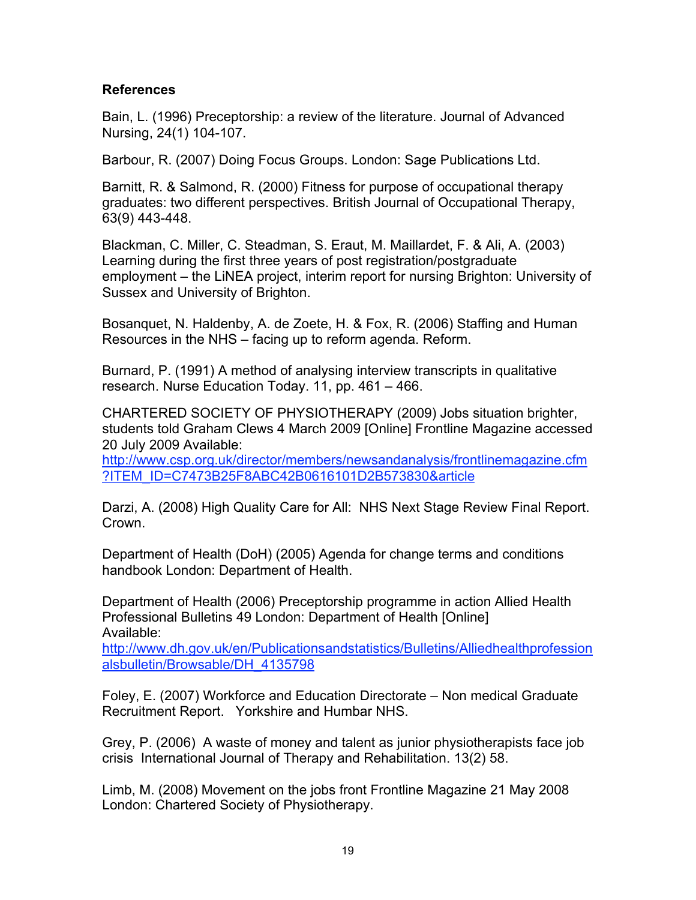## **References**

Bain, L. (1996) Preceptorship: a review of the literature. Journal of Advanced Nursing, 24(1) 104-107.

Barbour, R. (2007) Doing Focus Groups. London: Sage Publications Ltd.

Barnitt, R. & Salmond, R. (2000) Fitness for purpose of occupational therapy graduates: two different perspectives. British Journal of Occupational Therapy, 63(9) 443-448.

Blackman, C. Miller, C. Steadman, S. Eraut, M. Maillardet, F. & Ali, A. (2003) Learning during the first three years of post registration/postgraduate employment – the LiNEA project, interim report for nursing Brighton: University of Sussex and University of Brighton.

Bosanquet, N. Haldenby, A. de Zoete, H. & Fox, R. (2006) Staffing and Human Resources in the NHS – facing up to reform agenda. Reform.

Burnard, P. (1991) A method of analysing interview transcripts in qualitative research. Nurse Education Today. 11, pp. 461 – 466.

CHARTERED SOCIETY OF PHYSIOTHERAPY (2009) Jobs situation brighter, students told Graham Clews 4 March 2009 [Online] Frontline Magazine accessed 20 July 2009 Available:

http://www.csp.org.uk/director/members/newsandanalysis/frontlinemagazine.cfm ?ITEM\_ID=C7473B25F8ABC42B0616101D2B573830&article

Darzi, A. (2008) High Quality Care for All: NHS Next Stage Review Final Report. Crown.

Department of Health (DoH) (2005) Agenda for change terms and conditions handbook London: Department of Health.

Department of Health (2006) Preceptorship programme in action Allied Health Professional Bulletins 49 London: Department of Health [Online] Available:

http://www.dh.gov.uk/en/Publicationsandstatistics/Bulletins/Alliedhealthprofession alsbulletin/Browsable/DH\_4135798

Foley, E. (2007) Workforce and Education Directorate – Non medical Graduate Recruitment Report. Yorkshire and Humbar NHS.

Grey, P. (2006) A waste of money and talent as junior physiotherapists face job crisis International Journal of Therapy and Rehabilitation. 13(2) 58.

Limb, M. (2008) Movement on the jobs front Frontline Magazine 21 May 2008 London: Chartered Society of Physiotherapy.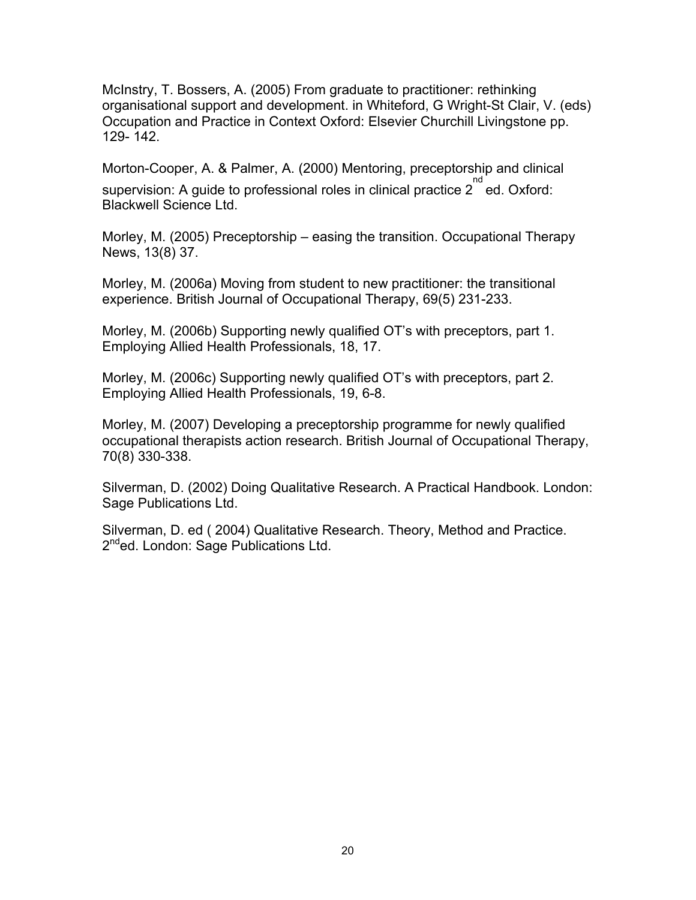McInstry, T. Bossers, A. (2005) From graduate to practitioner: rethinking organisational support and development. in Whiteford, G Wright-St Clair, V. (eds) Occupation and Practice in Context Oxford: Elsevier Churchill Livingstone pp. 129- 142.

Morton-Cooper, A. & Palmer, A. (2000) Mentoring, preceptorship and clinical supervision: A guide to professional roles in clinical practice  $2^{\text{nd}}$  ed. Oxford: Blackwell Science Ltd.

Morley, M. (2005) Preceptorship – easing the transition. Occupational Therapy News, 13(8) 37.

Morley, M. (2006a) Moving from student to new practitioner: the transitional experience. British Journal of Occupational Therapy, 69(5) 231-233.

Morley, M. (2006b) Supporting newly qualified OT's with preceptors, part 1. Employing Allied Health Professionals, 18, 17.

Morley, M. (2006c) Supporting newly qualified OT's with preceptors, part 2. Employing Allied Health Professionals, 19, 6-8.

Morley, M. (2007) Developing a preceptorship programme for newly qualified occupational therapists action research. British Journal of Occupational Therapy, 70(8) 330-338.

Silverman, D. (2002) Doing Qualitative Research. A Practical Handbook. London: Sage Publications Ltd.

Silverman, D. ed ( 2004) Qualitative Research. Theory, Method and Practice. 2<sup>nd</sup>ed. London: Sage Publications Ltd.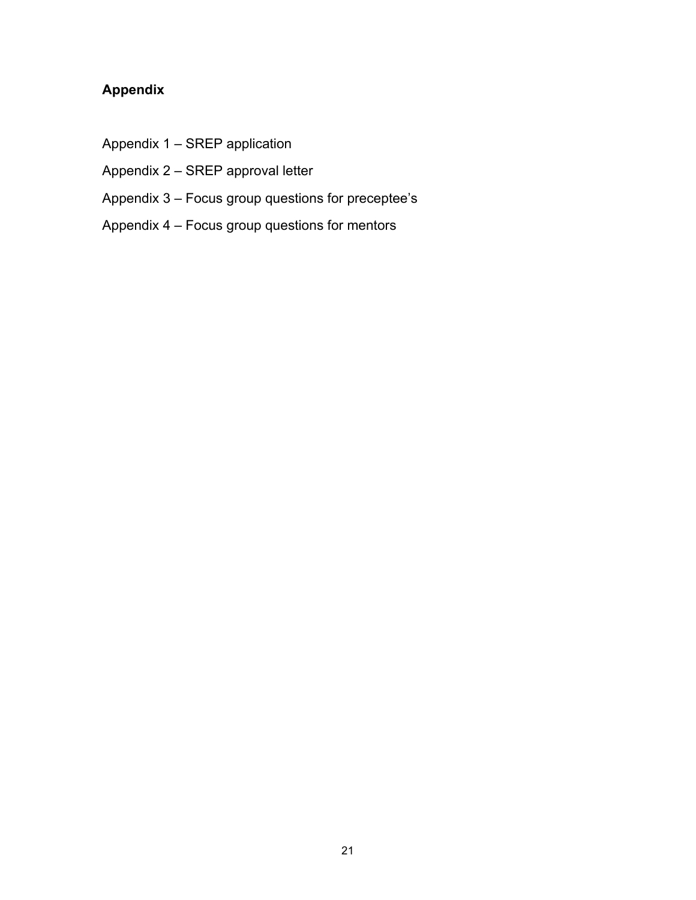# **Appendix**

- Appendix 1 SREP application
- Appendix 2 SREP approval letter
- Appendix 3 Focus group questions for preceptee's
- Appendix 4 Focus group questions for mentors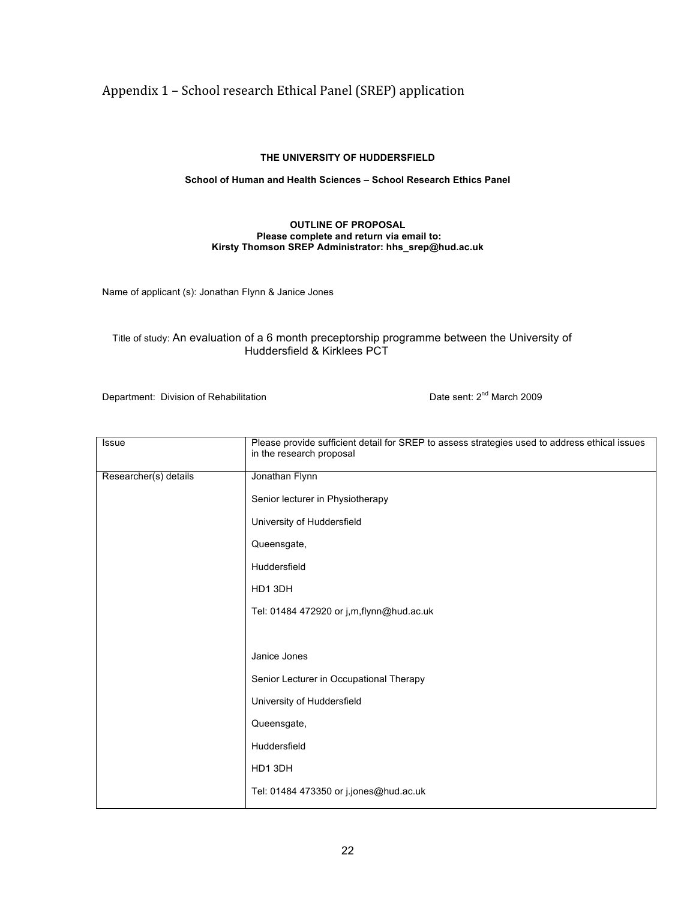# Appendix 1 – School research Ethical Panel (SREP) application

#### **THE UNIVERSITY OF HUDDERSFIELD**

#### **School of Human and Health Sciences – School Research Ethics Panel**

#### **OUTLINE OF PROPOSAL Please complete and return via email to: Kirsty Thomson SREP Administrator: hhs\_srep@hud.ac.uk**

Name of applicant (s): Jonathan Flynn & Janice Jones

#### Title of study: An evaluation of a 6 month preceptorship programme between the University of Huddersfield & Kirklees PCT

Department: Division of Rehabilitation Department: 2<sup>nd</sup> March 2009

| <b>Issue</b>          | Please provide sufficient detail for SREP to assess strategies used to address ethical issues<br>in the research proposal |
|-----------------------|---------------------------------------------------------------------------------------------------------------------------|
| Researcher(s) details | Jonathan Flynn                                                                                                            |
|                       | Senior lecturer in Physiotherapy                                                                                          |
|                       | University of Huddersfield                                                                                                |
|                       | Queensgate,                                                                                                               |
|                       | Huddersfield                                                                                                              |
|                       | HD1 3DH                                                                                                                   |
|                       | Tel: 01484 472920 or j,m,flynn@hud.ac.uk                                                                                  |
|                       |                                                                                                                           |
|                       | Janice Jones                                                                                                              |
|                       | Senior Lecturer in Occupational Therapy                                                                                   |
|                       | University of Huddersfield                                                                                                |
|                       | Queensgate,                                                                                                               |
|                       | Huddersfield                                                                                                              |
|                       | HD1 3DH                                                                                                                   |
|                       | Tel: 01484 473350 or j.jones@hud.ac.uk                                                                                    |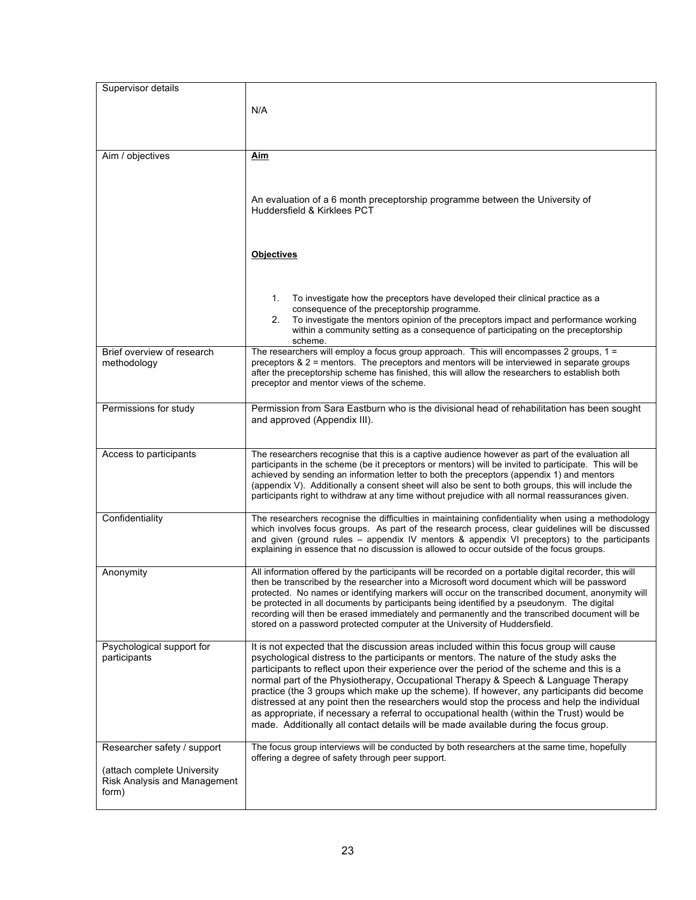| Supervisor details           |                                                                                                                                                                                                          |
|------------------------------|----------------------------------------------------------------------------------------------------------------------------------------------------------------------------------------------------------|
|                              |                                                                                                                                                                                                          |
|                              | N/A                                                                                                                                                                                                      |
|                              |                                                                                                                                                                                                          |
|                              |                                                                                                                                                                                                          |
| Aim / objectives             | Aim                                                                                                                                                                                                      |
|                              |                                                                                                                                                                                                          |
|                              |                                                                                                                                                                                                          |
|                              | An evaluation of a 6 month preceptorship programme between the University of<br>Huddersfield & Kirklees PCT                                                                                              |
|                              |                                                                                                                                                                                                          |
|                              |                                                                                                                                                                                                          |
|                              | <b>Objectives</b>                                                                                                                                                                                        |
|                              |                                                                                                                                                                                                          |
|                              |                                                                                                                                                                                                          |
|                              | To investigate how the preceptors have developed their clinical practice as a<br>1.                                                                                                                      |
|                              | consequence of the preceptorship programme.                                                                                                                                                              |
|                              | To investigate the mentors opinion of the preceptors impact and performance working<br>2.<br>within a community setting as a consequence of participating on the preceptorship                           |
|                              | scheme.                                                                                                                                                                                                  |
| Brief overview of research   | The researchers will employ a focus group approach. This will encompasses 2 groups, 1 =<br>preceptors & 2 = mentors. The preceptors and mentors will be interviewed in separate groups                   |
| methodology                  | after the preceptorship scheme has finished, this will allow the researchers to establish both                                                                                                           |
|                              | preceptor and mentor views of the scheme.                                                                                                                                                                |
|                              |                                                                                                                                                                                                          |
| Permissions for study        | Permission from Sara Eastburn who is the divisional head of rehabilitation has been sought<br>and approved (Appendix III).                                                                               |
|                              |                                                                                                                                                                                                          |
|                              |                                                                                                                                                                                                          |
| Access to participants       | The researchers recognise that this is a captive audience however as part of the evaluation all<br>participants in the scheme (be it preceptors or mentors) will be invited to participate. This will be |
|                              | achieved by sending an information letter to both the preceptors (appendix 1) and mentors                                                                                                                |
|                              | (appendix V). Additionally a consent sheet will also be sent to both groups, this will include the<br>participants right to withdraw at any time without prejudice with all normal reassurances given.   |
|                              |                                                                                                                                                                                                          |
| Confidentiality              | The researchers recognise the difficulties in maintaining confidentiality when using a methodology<br>which involves focus groups. As part of the research process, clear guidelines will be discussed   |
|                              | and given (ground rules – appendix IV mentors & appendix VI preceptors) to the participants                                                                                                              |
|                              | explaining in essence that no discussion is allowed to occur outside of the focus groups.                                                                                                                |
| Anonymity                    | All information offered by the participants will be recorded on a portable digital recorder, this will                                                                                                   |
|                              | then be transcribed by the researcher into a Microsoft word document which will be password                                                                                                              |
|                              | protected. No names or identifying markers will occur on the transcribed document, anonymity will<br>be protected in all documents by participants being identified by a pseudonym. The digital          |
|                              | recording will then be erased immediately and permanently and the transcribed document will be                                                                                                           |
|                              | stored on a password protected computer at the University of Huddersfield.                                                                                                                               |
| Psychological support for    | It is not expected that the discussion areas included within this focus group will cause                                                                                                                 |
| participants                 | psychological distress to the participants or mentors. The nature of the study asks the                                                                                                                  |
|                              | participants to reflect upon their experience over the period of the scheme and this is a<br>normal part of the Physiotherapy, Occupational Therapy & Speech & Language Therapy                          |
|                              | practice (the 3 groups which make up the scheme). If however, any participants did become                                                                                                                |
|                              | distressed at any point then the researchers would stop the process and help the individual                                                                                                              |
|                              | as appropriate, if necessary a referral to occupational health (within the Trust) would be<br>made. Additionally all contact details will be made available during the focus group.                      |
|                              |                                                                                                                                                                                                          |
| Researcher safety / support  | The focus group interviews will be conducted by both researchers at the same time, hopefully                                                                                                             |
| (attach complete University  | offering a degree of safety through peer support.                                                                                                                                                        |
| Risk Analysis and Management |                                                                                                                                                                                                          |
| form)                        |                                                                                                                                                                                                          |
|                              |                                                                                                                                                                                                          |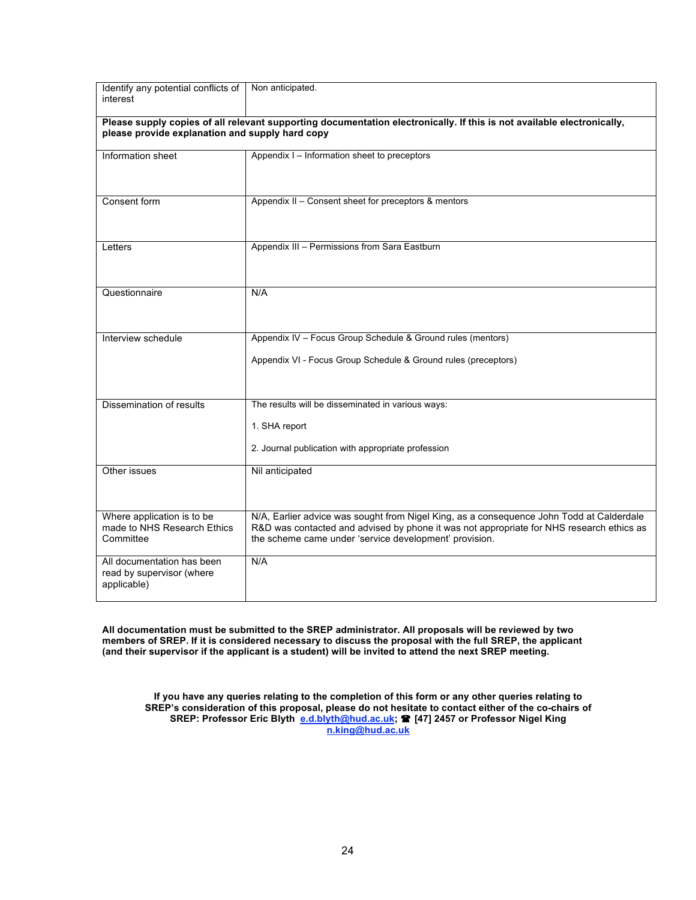| Identify any potential conflicts of<br>interest                                                                                                                           | Non anticipated.                                                                                                                                                                                                                               |  |  |
|---------------------------------------------------------------------------------------------------------------------------------------------------------------------------|------------------------------------------------------------------------------------------------------------------------------------------------------------------------------------------------------------------------------------------------|--|--|
| Please supply copies of all relevant supporting documentation electronically. If this is not available electronically,<br>please provide explanation and supply hard copy |                                                                                                                                                                                                                                                |  |  |
| Information sheet                                                                                                                                                         | Appendix I - Information sheet to preceptors                                                                                                                                                                                                   |  |  |
| Consent form                                                                                                                                                              | Appendix II - Consent sheet for preceptors & mentors                                                                                                                                                                                           |  |  |
| Letters                                                                                                                                                                   | Appendix III - Permissions from Sara Eastburn                                                                                                                                                                                                  |  |  |
| Questionnaire                                                                                                                                                             | N/A                                                                                                                                                                                                                                            |  |  |
| Interview schedule                                                                                                                                                        | Appendix IV - Focus Group Schedule & Ground rules (mentors)                                                                                                                                                                                    |  |  |
|                                                                                                                                                                           | Appendix VI - Focus Group Schedule & Ground rules (preceptors)                                                                                                                                                                                 |  |  |
| Dissemination of results                                                                                                                                                  | The results will be disseminated in various ways:                                                                                                                                                                                              |  |  |
|                                                                                                                                                                           | 1. SHA report                                                                                                                                                                                                                                  |  |  |
|                                                                                                                                                                           | 2. Journal publication with appropriate profession                                                                                                                                                                                             |  |  |
| Other issues                                                                                                                                                              | Nil anticipated                                                                                                                                                                                                                                |  |  |
| Where application is to be<br>made to NHS Research Ethics<br>Committee                                                                                                    | N/A, Earlier advice was sought from Nigel King, as a consequence John Todd at Calderdale<br>R&D was contacted and advised by phone it was not appropriate for NHS research ethics as<br>the scheme came under 'service development' provision. |  |  |
| All documentation has been<br>read by supervisor (where<br>applicable)                                                                                                    | N/A                                                                                                                                                                                                                                            |  |  |

**All documentation must be submitted to the SREP administrator. All proposals will be reviewed by two members of SREP. If it is considered necessary to discuss the proposal with the full SREP, the applicant (and their supervisor if the applicant is a student) will be invited to attend the next SREP meeting.**

**If you have any queries relating to the completion of this form or any other queries relating to SREP's consideration of this proposal, please do not hesitate to contact either of the co-chairs of SREP: Professor Eric Blyth e.d.blyth@hud.ac.uk; [47] 2457 or Professor Nigel King n.king@hud.ac.uk**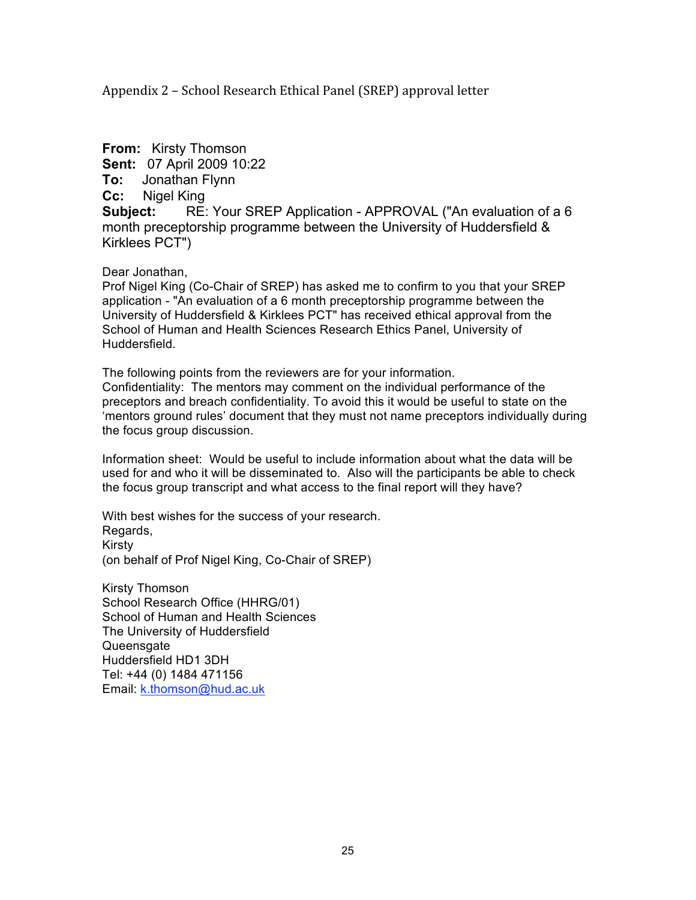Appendix 2 – School Research Ethical Panel (SREP) approval letter

**From:** Kirsty Thomson **Sent:** 07 April 2009 10:22 **To:** Jonathan Flynn **Cc:** Nigel King **Subject:** RE: Your SREP Application - APPROVAL ("An evaluation of a 6 month preceptorship programme between the University of Huddersfield & Kirklees PCT")

#### Dear Jonathan,

Prof Nigel King (Co-Chair of SREP) has asked me to confirm to you that your SREP application - "An evaluation of a 6 month preceptorship programme between the University of Huddersfield & Kirklees PCT" has received ethical approval from the School of Human and Health Sciences Research Ethics Panel, University of Huddersfield.

The following points from the reviewers are for your information. Confidentiality: The mentors may comment on the individual performance of the preceptors and breach confidentiality. To avoid this it would be useful to state on the 'mentors ground rules' document that they must not name preceptors individually during the focus group discussion.

Information sheet: Would be useful to include information about what the data will be used for and who it will be disseminated to. Also will the participants be able to check the focus group transcript and what access to the final report will they have?

With best wishes for the success of your research. Regards, Kirsty (on behalf of Prof Nigel King, Co-Chair of SREP)

Kirsty Thomson School Research Office (HHRG/01) School of Human and Health Sciences The University of Huddersfield Queensgate Huddersfield HD1 3DH Tel: +44 (0) 1484 471156 Email: k.thomson@hud.ac.uk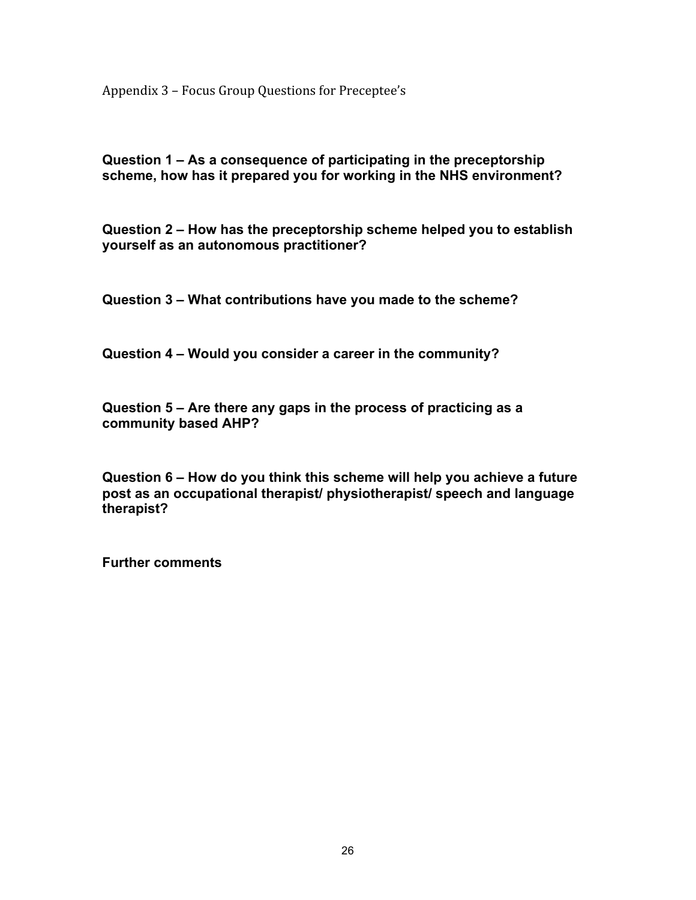Appendix 3 – Focus Group Questions for Preceptee's

**Question 1 – As a consequence of participating in the preceptorship scheme, how has it prepared you for working in the NHS environment?**

**Question 2 – How has the preceptorship scheme helped you to establish yourself as an autonomous practitioner?**

**Question 3 – What contributions have you made to the scheme?**

**Question 4 – Would you consider a career in the community?**

**Question 5 – Are there any gaps in the process of practicing as a community based AHP?**

**Question 6 – How do you think this scheme will help you achieve a future post as an occupational therapist/ physiotherapist/ speech and language therapist?**

**Further comments**